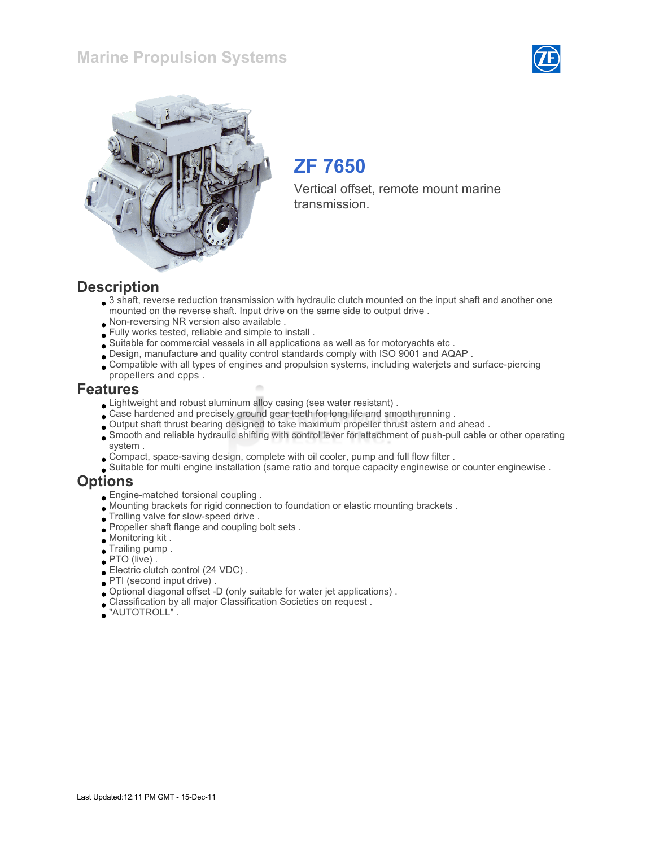### Marine Propulsion Systems





## ZF 7650

Vertical offset, remote mount marine transmission.

#### **Description**

- 3 shaft, reverse reduction transmission with hydraulic clutch mounted on the input shaft and another one mounted on the reverse shaft. Input drive on the same side to output drive .
- Non-reversing NR version also available .
- Fully works tested, reliable and simple to install .
- Suitable for commercial vessels in all applications as well as for motoryachts etc .
- Design, manufacture and quality control standards comply with ISO 9001 and AQAP .
- Compatible with all types of engines and propulsion systems, including waterjets and surface-piercing propellers and cpps .

#### Features

- Lightweight and robust aluminum alloy casing (sea water resistant) .
- Case hardened and precisely ground gear teeth for long life and smooth running .
- Output shaft thrust bearing designed to take maximum propeller thrust astern and ahead .
- Smooth and reliable hydraulic shifting with control lever for attachment of push-pull cable or other operating system .
- Compact, space-saving design, complete with oil cooler, pump and full flow filter .
- Suitable for multi engine installation (same ratio and torque capacity enginewise or counter enginewise .

#### Options

- Engine-matched torsional coupling .
- Mounting brackets for rigid connection to foundation or elastic mounting brackets .
- $\bullet$  Trolling valve for slow-speed drive .
- Propeller shaft flange and coupling bolt sets .
- Monitoring kit .
- Trailing pump .
- PTO (live).
- Electric clutch control (24 VDC) .
- PTI (second input drive) .
- Optional diagonal offset -D (only suitable for water jet applications) .
- Classification by all major Classification Societies on request .
- "AUTOTROLL" .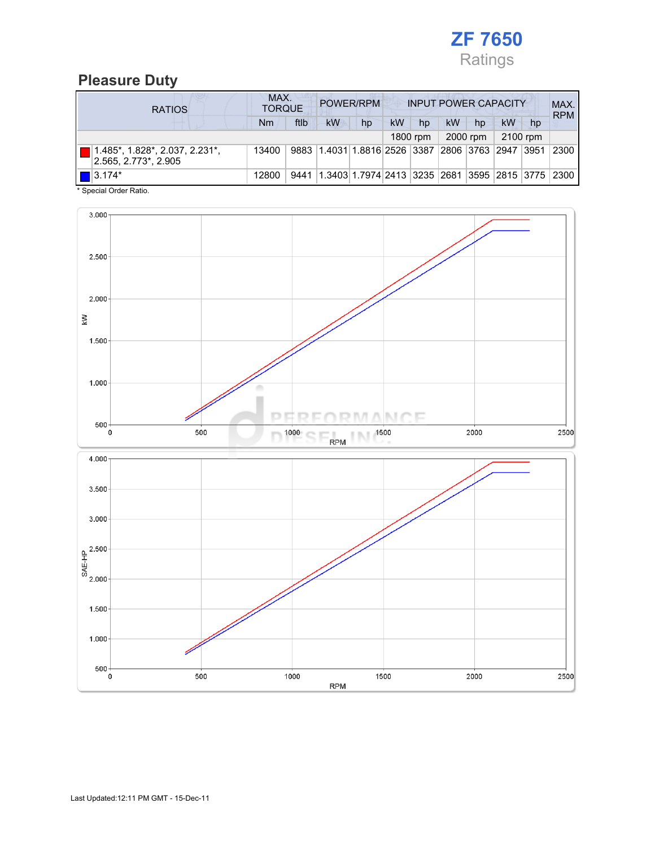

### Pleasure Duty

| <b>RATIOS</b>                                                         | MAX.<br><b>TORQUE</b> | POWER/RPM<br><b>INPUT POWER CAPACITY</b> |                                                                         |    |           |          |                    | MAX.<br><b>RPM</b> |    |          |      |
|-----------------------------------------------------------------------|-----------------------|------------------------------------------|-------------------------------------------------------------------------|----|-----------|----------|--------------------|--------------------|----|----------|------|
|                                                                       | Nm                    | ftlb                                     | <b>kW</b>                                                               | hp | <b>kW</b> | hp       | kW                 | hp                 | kW | hp       |      |
|                                                                       |                       |                                          |                                                                         |    |           | 1800 rpm |                    | 2000 rpm           |    | 2100 rpm |      |
| $1.485^*$ , $1.828^*$ , $2.037$ , $2.231^*$ ,<br>2.565. 2.773*. 2.905 | 13400                 |                                          | 9883 1.4031 1.8816 2526 3387                                            |    |           |          | 2806   3763   2947 |                    |    | 3951     | 2300 |
| $\blacksquare$ 3.174*                                                 | 12800                 |                                          | 9441   1.3403   1.7974   2413   3235   2681   3595   2815   3775   2300 |    |           |          |                    |                    |    |          |      |

\* Special Order Ratio.

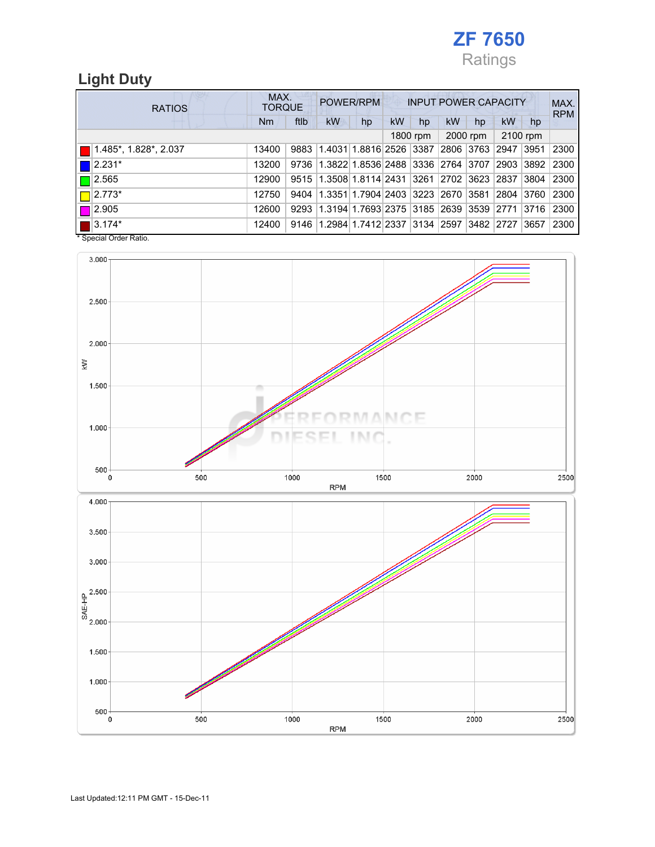

### Light Duty

| <b>RATIOS</b>         | MAX.<br><b>TORQUE</b> |      | POWER/RPM<br><b>INPUT POWER CAPACITY</b>         |    |           |          |                    |           |            | MAX.<br><b>RPM</b> |      |
|-----------------------|-----------------------|------|--------------------------------------------------|----|-----------|----------|--------------------|-----------|------------|--------------------|------|
|                       | Nm                    | ftlb | kW                                               | hp | <b>kW</b> | hp       | <b>kW</b>          | hp        | kW         | hp                 |      |
|                       |                       |      |                                                  |    |           | 1800 rpm |                    | 2000 rpm  |            | 2100 rpm           |      |
| 1.485*, 1.828*, 2.037 | 13400                 |      | 9883   1.4031   1.8816   2526   3387             |    |           |          | 2806   3763        |           | 2947       | 3951               | 2300 |
| $ 2.231*$             | 13200                 |      | 9736 1.3822 1.8536 2488 3336 2764 3707           |    |           |          |                    |           | 2903  3892 |                    | 2300 |
| 12.565                | 12900                 |      | 9515   1.3508   1.8114   2431   3261             |    |           |          | 2702   3623   2837 |           |            | 3804               | 2300 |
| $\Box$ 2.773*         | 12750                 | 9404 | 1.3351 1.7904 2403 3223 2670 3581                |    |           |          |                    |           | 2804       | 3760               | 2300 |
| $\blacksquare$ 2.905  | 12600                 |      | 9293 1.3194 1.7693 2375 3185 2639 3539 2771 3716 |    |           |          |                    |           |            |                    | 2300 |
| $\blacksquare$ 3.174* | 12400                 |      | 9146   1.2984   1.7412   2337   3134   2597      |    |           |          |                    | 3482 2727 |            | 3657               | 2300 |

\* Special Order Ratio.

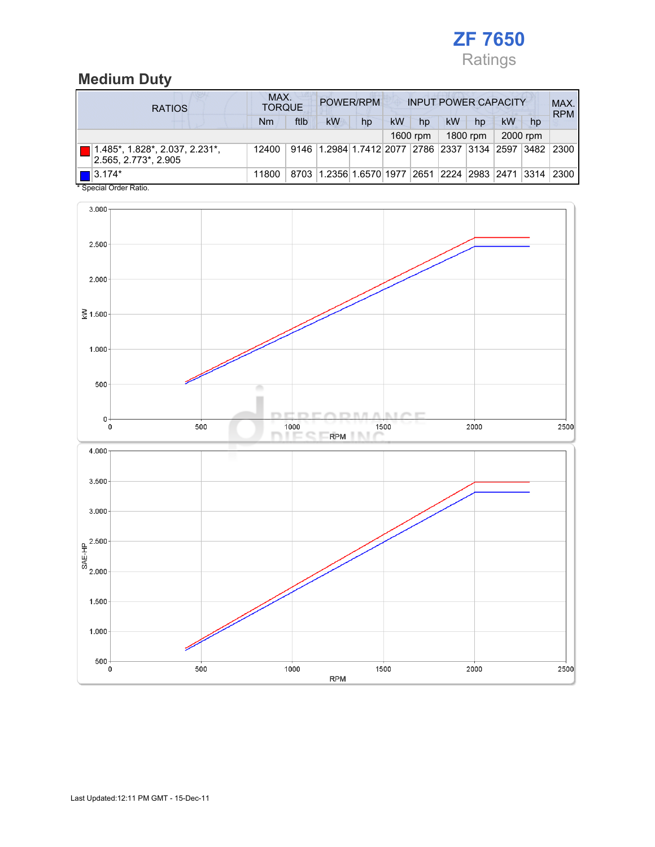

### Medium Duty

| <b>RATIOS</b>                                            | MAX.<br><b>TORQUE</b> | POWER/RPM<br><b>INPUT POWER CAPACITY</b> |                                                       |    |    |          |    | MAX.<br><b>RPM</b> |           |          |      |
|----------------------------------------------------------|-----------------------|------------------------------------------|-------------------------------------------------------|----|----|----------|----|--------------------|-----------|----------|------|
|                                                          | Nm                    | ftlb                                     | <b>kW</b>                                             | hp | kW | hp       | kW | hp                 | <b>kW</b> | hp       |      |
|                                                          |                       |                                          |                                                       |    |    | 1600 rpm |    | 1800 rpm           |           | 2000 rpm |      |
| 1.485*, 1.828*, 2.037, 2.231*,<br>2.565. 2.773*. 2.905   | 12400                 |                                          | 9146 1.2984 1.7412 2077 2786 2337 3134 2597 3482      |    |    |          |    |                    |           |          | 2300 |
| $\blacksquare$ 3.174*<br>$*$ On a simil Onder Definition | 11800                 |                                          | 8703 1.2356 1.6570 1977 2651 2224 2983 2471 3314 2300 |    |    |          |    |                    |           |          |      |

Special Order Ratio.

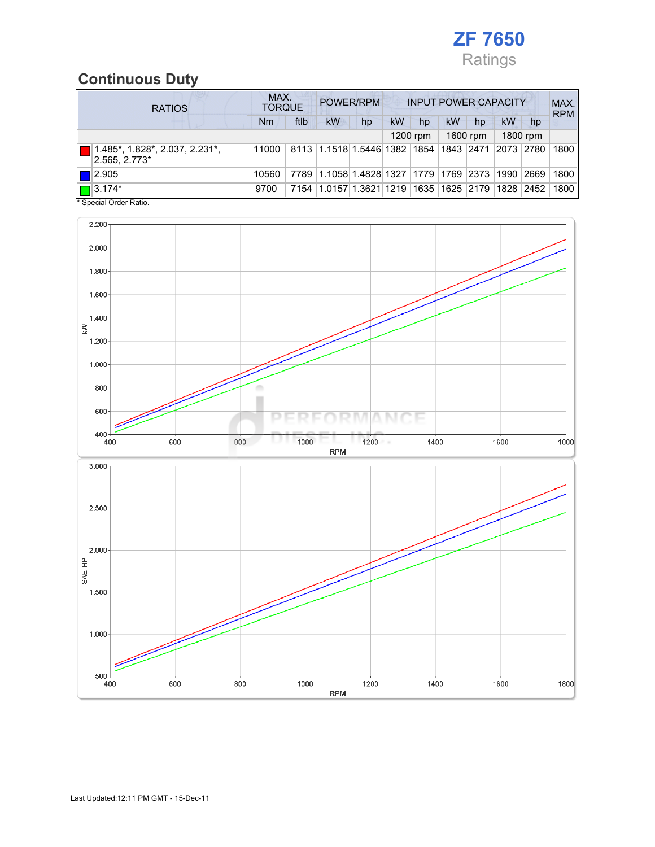

### Continuous Duty

|  | <b>RATIOS</b>                                   |       | MAX.<br>POWER/RPM<br><b>INPUT POWER CAPACITY</b><br><b>TORQUE</b> |                                                  |    |    |          |           |          |      |                | MAX.<br><b>RPM</b> |
|--|-------------------------------------------------|-------|-------------------------------------------------------------------|--------------------------------------------------|----|----|----------|-----------|----------|------|----------------|--------------------|
|  |                                                 | Nm    | ftlb                                                              | <b>kW</b>                                        | hp | kW | hp       | <b>kW</b> | hp       | kW   | hp             |                    |
|  |                                                 |       |                                                                   |                                                  |    |    | 1200 rpm |           | 1600 rpm |      | 1800 rpm       |                    |
|  | 1.485*, 1.828*, 2.037, 2.231*,<br>2.565, 2.773* | 11000 |                                                                   | 8113 1.1518 1.5446 1382 1854 1843 2471 2073 2780 |    |    |          |           |          |      |                | 1800               |
|  | 2.905                                           | 10560 | 7789                                                              | 1.1058 1.4828 1327 1779 1769 2373                |    |    |          |           |          | 1990 | 2669           | 1800               |
|  | $\blacksquare$ 3.174*                           | 9700  | 7154                                                              | 1.0157 1.3621 1219  1635  1625  2179  1828       |    |    |          |           |          |      | $ 2452\rangle$ | 1800               |

\* Special Order Ratio.

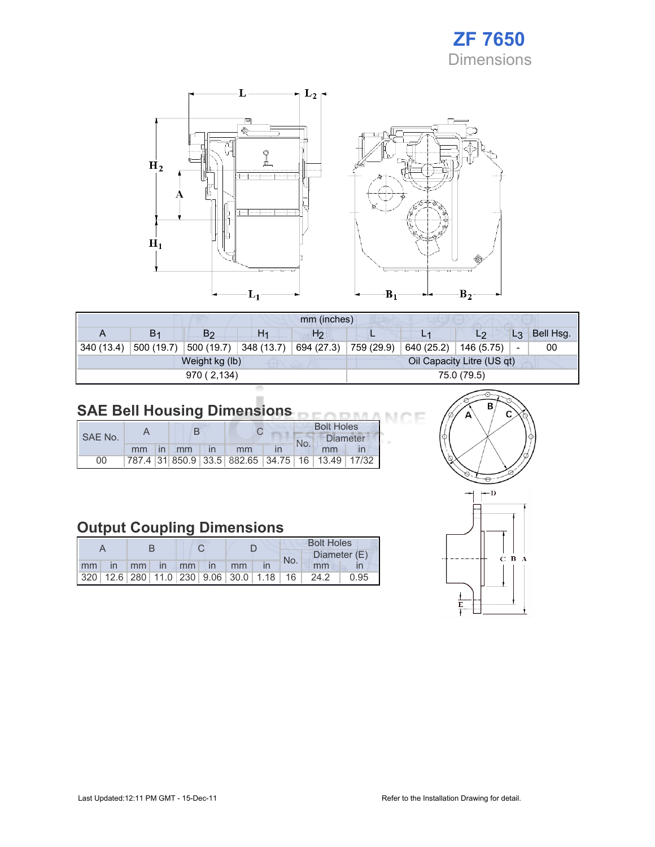



|            | mm (inches)    |                |            |                |                            |            |            |                          |           |  |
|------------|----------------|----------------|------------|----------------|----------------------------|------------|------------|--------------------------|-----------|--|
|            | B <sub>1</sub> | B <sub>2</sub> | H1         | H <sub>2</sub> |                            |            | L2         | $L_3$                    | Bell Hsg. |  |
| 340 (13.4) | 500 (19.7)     | 500 (19.7)     | 348 (13.7) | 694 (27.3)     | 759 (29.9)                 | 640 (25.2) | 146 (5.75) | $\overline{\phantom{0}}$ | 00        |  |
|            |                | Weight kg (lb) |            |                | Oil Capacity Litre (US qt) |            |            |                          |           |  |
|            |                | 970 (2,134)    |            | 75.0 (79.5)    |                            |            |            |                          |           |  |
|            |                |                |            |                |                            |            |            |                          |           |  |

# SAE Bell Housing Dimensions<br> **SAE Bell Housing Dimensions**<br> **DEOPMANCE**

|         |    | B              |    |                                                 | <b>Bolt Holes</b> |     |                 |  |
|---------|----|----------------|----|-------------------------------------------------|-------------------|-----|-----------------|--|
| SAE No. |    |                |    |                                                 |                   | No. | <b>Diameter</b> |  |
|         | mm | $\overline{m}$ | mm | mm                                              |                   |     | mm              |  |
| 00      |    |                |    | 787.4 31 850.9 33.5 882.65 34.75 16 13.49 17/32 |                   |     |                 |  |

### Output Coupling Dimensions

|    |                         |    |    |    |              |                                                    |     | <b>Bolt Holes</b> |              |  |  |  |
|----|-------------------------|----|----|----|--------------|----------------------------------------------------|-----|-------------------|--------------|--|--|--|
|    |                         |    |    |    |              |                                                    | No. |                   | Diameter (E) |  |  |  |
| mm | $\overline{\mathsf{I}}$ | mm | In | mm | $\mathsf{I}$ | mm                                                 |     | mm                |              |  |  |  |
|    |                         |    |    |    |              | 320   12.6   280   11.0   230   9.06   30.0   1.18 | -16 | 24.2              | 0.95         |  |  |  |